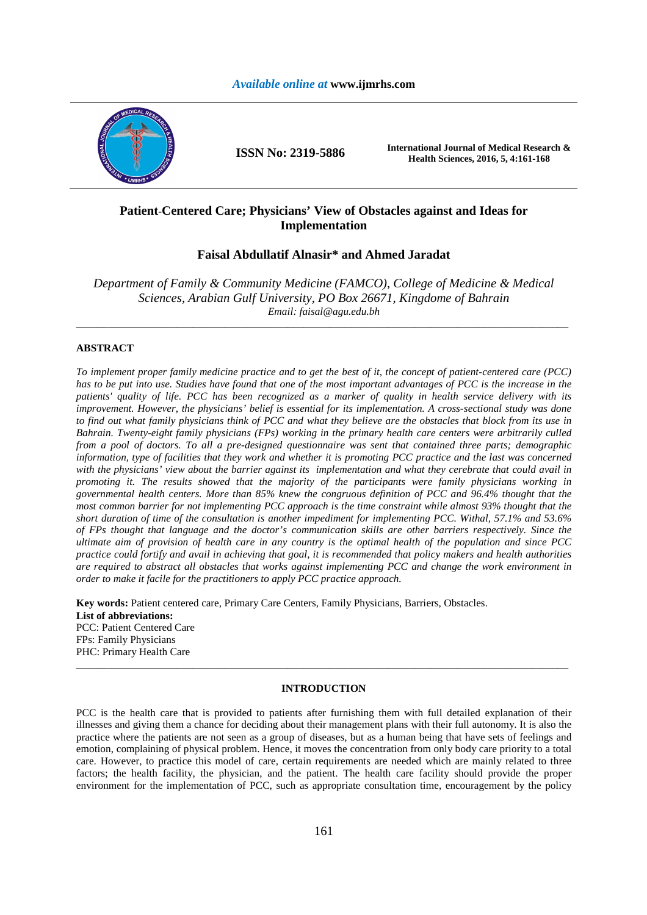# *Available online at* **www.ijmrhs.com**



# **Patient**-**Centered Care; Physicians' View of Obstacles against and Ideas for Implementation**

# **Faisal Abdullatif Alnasir\* and Ahmed Jaradat**

*Department of Family & Community Medicine (FAMCO), College of Medicine & Medical Sciences, Arabian Gulf University, PO Box 26671, Kingdome of Bahrain Email: faisal@agu.edu.bh* 

\_\_\_\_\_\_\_\_\_\_\_\_\_\_\_\_\_\_\_\_\_\_\_\_\_\_\_\_\_\_\_\_\_\_\_\_\_\_\_\_\_\_\_\_\_\_\_\_\_\_\_\_\_\_\_\_\_\_\_\_\_\_\_\_\_\_\_\_\_\_\_\_\_\_\_\_\_\_\_\_\_\_\_\_\_\_\_\_\_\_\_\_\_

## **ABSTRACT**

*To implement proper family medicine practice and to get the best of it, the concept of patient-centered care (PCC) has to be put into use. Studies have found that one of the most important advantages of PCC is the increase in the patients' quality of life. PCC has been recognized as a marker of quality in health service delivery with its improvement. However, the physicians' belief is essential for its implementation. A cross-sectional study was done to find out what family physicians think of PCC and what they believe are the obstacles that block from its use in Bahrain. Twenty-eight family physicians (FPs) working in the primary health care centers were arbitrarily culled from a pool of doctors. To all a pre-designed questionnaire was sent that contained three parts; demographic information, type of facilities that they work and whether it is promoting PCC practice and the last was concerned with the physicians' view about the barrier against its implementation and what they cerebrate that could avail in promoting it. The results showed that the majority of the participants were family physicians working in governmental health centers. More than 85% knew the congruous definition of PCC and 96.4% thought that the most common barrier for not implementing PCC approach is the time constraint while almost 93% thought that the short duration of time of the consultation is another impediment for implementing PCC. Withal, 57.1% and 53.6% of FPs thought that language and the doctor's communication skills are other barriers respectively. Since the ultimate aim of provision of health care in any country is the optimal health of the population and since PCC practice could fortify and avail in achieving that goal, it is recommended that policy makers and health authorities are required to abstract all obstacles that works against implementing PCC and change the work environment in order to make it facile for the practitioners to apply PCC practice approach.* 

**Key words:** Patient centered care, Primary Care Centers, Family Physicians, Barriers, Obstacles. **List of abbreviations:**  PCC: Patient Centered Care FPs: Family Physicians PHC: Primary Health Care

### **INTRODUCTION**

\_\_\_\_\_\_\_\_\_\_\_\_\_\_\_\_\_\_\_\_\_\_\_\_\_\_\_\_\_\_\_\_\_\_\_\_\_\_\_\_\_\_\_\_\_\_\_\_\_\_\_\_\_\_\_\_\_\_\_\_\_\_\_\_\_\_\_\_\_\_\_\_\_\_\_\_\_\_\_\_\_\_\_\_\_\_\_\_\_\_\_\_\_

PCC is the health care that is provided to patients after furnishing them with full detailed explanation of their illnesses and giving them a chance for deciding about their management plans with their full autonomy. It is also the practice where the patients are not seen as a group of diseases, but as a human being that have sets of feelings and emotion, complaining of physical problem. Hence, it moves the concentration from only body care priority to a total care. However, to practice this model of care, certain requirements are needed which are mainly related to three factors; the health facility, the physician, and the patient. The health care facility should provide the proper environment for the implementation of PCC, such as appropriate consultation time, encouragement by the policy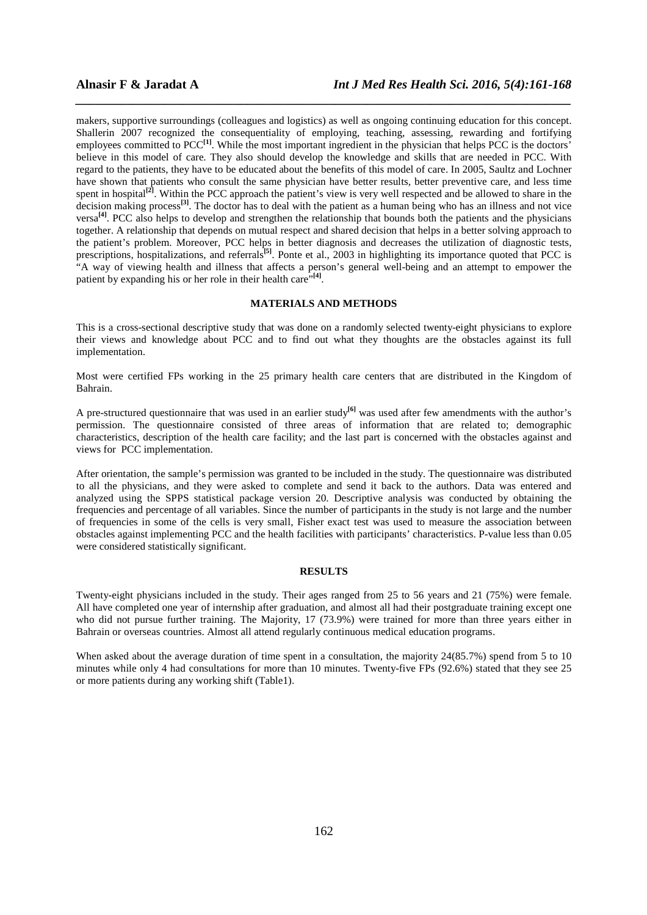makers, supportive surroundings (colleagues and logistics) as well as ongoing continuing education for this concept. Shallerin 2007 recognized the consequentiality of employing, teaching, assessing, rewarding and fortifying employees committed to PCC<sup>[1]</sup>. While the most important ingredient in the physician that helps PCC is the doctors' believe in this model of care. They also should develop the knowledge and skills that are needed in PCC. With regard to the patients, they have to be educated about the benefits of this model of care. In 2005, Saultz and Lochner have shown that patients who consult the same physician have better results, better preventive care, and less time spent in hospital<sup>[2]</sup>. Within the PCC approach the patient's view is very well respected and be allowed to share in the decision making process<sup>[3]</sup>. The doctor has to deal with the patient as a human being who has an illness and not vice versa**[4]**. PCC also helps to develop and strengthen the relationship that bounds both the patients and the physicians together. A relationship that depends on mutual respect and shared decision that helps in a better solving approach to the patient's problem. Moreover, PCC helps in better diagnosis and decreases the utilization of diagnostic tests, prescriptions, hospitalizations, and referrals<sup>[5]</sup>. Ponte et al., 2003 in highlighting its importance quoted that PCC is "A way of viewing health and illness that affects a person's general well-being and an attempt to empower the patient by expanding his or her role in their health care<sup>"[4]</sup>.

*\_\_\_\_\_\_\_\_\_\_\_\_\_\_\_\_\_\_\_\_\_\_\_\_\_\_\_\_\_\_\_\_\_\_\_\_\_\_\_\_\_\_\_\_\_\_\_\_\_\_\_\_\_\_\_\_\_\_\_\_\_\_\_\_\_\_\_\_\_\_\_\_\_\_\_\_\_\_*

# **MATERIALS AND METHODS**

This is a cross-sectional descriptive study that was done on a randomly selected twenty-eight physicians to explore their views and knowledge about PCC and to find out what they thoughts are the obstacles against its full implementation.

Most were certified FPs working in the 25 primary health care centers that are distributed in the Kingdom of Bahrain.

A pre-structured questionnaire that was used in an earlier study<sup>[6]</sup> was used after few amendments with the author's permission. The questionnaire consisted of three areas of information that are related to; demographic characteristics, description of the health care facility; and the last part is concerned with the obstacles against and views for PCC implementation.

After orientation, the sample's permission was granted to be included in the study. The questionnaire was distributed to all the physicians, and they were asked to complete and send it back to the authors. Data was entered and analyzed using the SPPS statistical package version 20. Descriptive analysis was conducted by obtaining the frequencies and percentage of all variables. Since the number of participants in the study is not large and the number of frequencies in some of the cells is very small, Fisher exact test was used to measure the association between obstacles against implementing PCC and the health facilities with participants' characteristics. P-value less than 0.05 were considered statistically significant.

#### **RESULTS**

Twenty-eight physicians included in the study. Their ages ranged from 25 to 56 years and 21 (75%) were female. All have completed one year of internship after graduation, and almost all had their postgraduate training except one who did not pursue further training. The Majority, 17 (73.9%) were trained for more than three years either in Bahrain or overseas countries. Almost all attend regularly continuous medical education programs.

When asked about the average duration of time spent in a consultation, the majority  $24(85.7%)$  spend from 5 to 10 minutes while only 4 had consultations for more than 10 minutes. Twenty-five FPs (92.6%) stated that they see 25 or more patients during any working shift (Table1).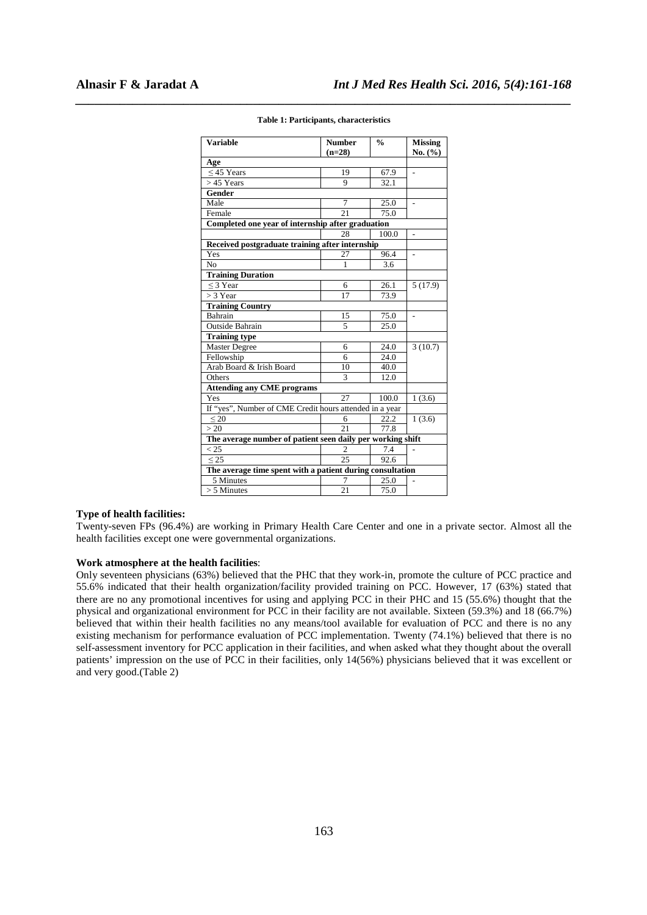| <b>Variable</b>                                            | <b>Number</b>  | $\frac{0}{0}$ | <b>Missing</b> |  |  |
|------------------------------------------------------------|----------------|---------------|----------------|--|--|
|                                                            | $(n=28)$       |               | No. (%)        |  |  |
| Age                                                        |                |               |                |  |  |
| $<$ 45 Years                                               | 19             | 67.9          |                |  |  |
| $>45$ Years                                                | 9              | 32.1          |                |  |  |
| Gender                                                     |                |               |                |  |  |
| Male                                                       | 7              | 25.0          |                |  |  |
| Female                                                     | 21             | 75.0          |                |  |  |
| Completed one year of internship after graduation          |                |               |                |  |  |
|                                                            | 28             | 100.0         |                |  |  |
| Received postgraduate training after internship            |                |               |                |  |  |
| Yes                                                        | 27             | 96.4          | $\overline{a}$ |  |  |
| N <sub>0</sub>                                             | $\mathbf{1}$   | 3.6           |                |  |  |
| <b>Training Duration</b>                                   |                |               |                |  |  |
| $\leq$ 3 Year                                              | 6              | 26.1          | 5(17.9)        |  |  |
| $>$ 3 Year                                                 | 17             | 73.9          |                |  |  |
| <b>Training Country</b>                                    |                |               |                |  |  |
| Bahrain                                                    | 15             | 75.0          |                |  |  |
| <b>Outside Bahrain</b>                                     | 5              | 25.0          |                |  |  |
| <b>Training type</b>                                       |                |               |                |  |  |
| <b>Master Degree</b>                                       | 6              | 24.0          | 3(10.7)        |  |  |
| Fellowship                                                 | 6              | 24.0          |                |  |  |
| Arab Board & Irish Board                                   | 10             | 40.0          |                |  |  |
| Others                                                     | 3              | 12.0          |                |  |  |
| <b>Attending any CME programs</b>                          |                |               |                |  |  |
| Yes                                                        | 27             | 100.0         | 1(3.6)         |  |  |
| If "yes", Number of CME Credit hours attended in a year    |                |               |                |  |  |
| < 20                                                       | 6              | 22.2          | 1(3.6)         |  |  |
| >20                                                        | 21             | 77.8          |                |  |  |
| The average number of patient seen daily per working shift |                |               |                |  |  |
| < 25                                                       | $\mathfrak{D}$ | 7.4           |                |  |  |
| < 25                                                       | 25             | 92.6          |                |  |  |
| The average time spent with a patient during consultation  |                |               |                |  |  |
| 5 Minutes                                                  | 7              | 25.0          |                |  |  |
| $> 5$ Minutes                                              | 21             | 75.0          |                |  |  |

# *\_\_\_\_\_\_\_\_\_\_\_\_\_\_\_\_\_\_\_\_\_\_\_\_\_\_\_\_\_\_\_\_\_\_\_\_\_\_\_\_\_\_\_\_\_\_\_\_\_\_\_\_\_\_\_\_\_\_\_\_\_\_\_\_\_\_\_\_\_\_\_\_\_\_\_\_\_\_* **Table 1: Participants, characteristics**

#### **Type of health facilities:**

Twenty-seven FPs (96.4%) are working in Primary Health Care Center and one in a private sector. Almost all the health facilities except one were governmental organizations.

#### **Work atmosphere at the health facilities**:

Only seventeen physicians (63%) believed that the PHC that they work-in, promote the culture of PCC practice and 55.6% indicated that their health organization/facility provided training on PCC. However, 17 (63%) stated that there are no any promotional incentives for using and applying PCC in their PHC and 15 (55.6%) thought that the physical and organizational environment for PCC in their facility are not available. Sixteen (59.3%) and 18 (66.7%) believed that within their health facilities no any means/tool available for evaluation of PCC and there is no any existing mechanism for performance evaluation of PCC implementation. Twenty (74.1%) believed that there is no self-assessment inventory for PCC application in their facilities, and when asked what they thought about the overall patients' impression on the use of PCC in their facilities, only 14(56%) physicians believed that it was excellent or and very good.(Table 2)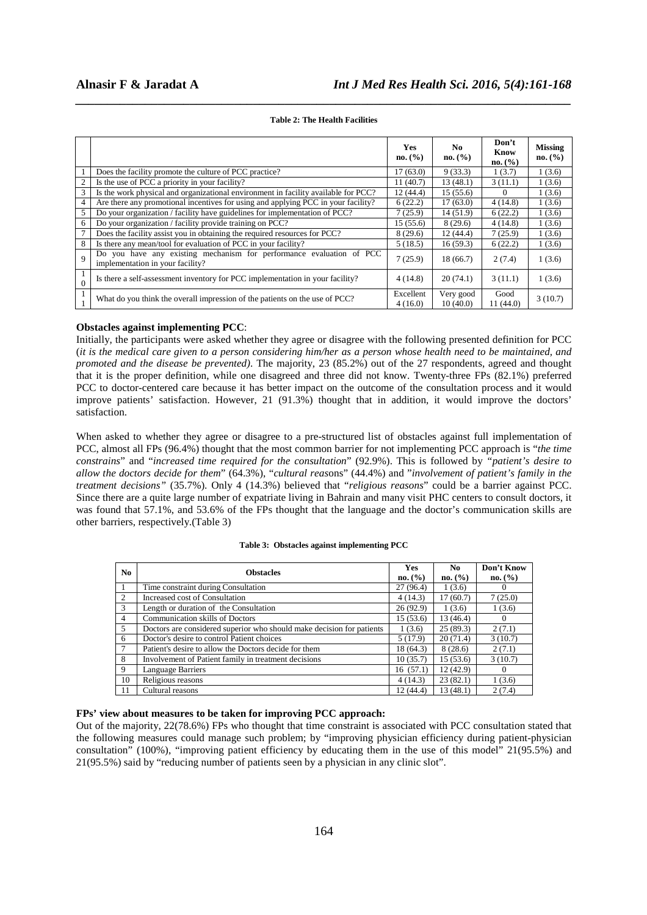|                |                                                                                                          | Yes<br>no. (%)       | No.<br>no. (%)        | Don't<br>Know<br>no. (%) | <b>Missing</b><br>no. (%) |
|----------------|----------------------------------------------------------------------------------------------------------|----------------------|-----------------------|--------------------------|---------------------------|
| $\mathbf{1}$   | Does the facility promote the culture of PCC practice?                                                   | 17(63.0)             | 9(33.3)               | 1(3.7)                   | 1(3.6)                    |
| $\overline{c}$ | Is the use of PCC a priority in your facility?                                                           | 11(40.7)             | 13(48.1)              | 3(11.1)                  | 1(3.6)                    |
| 3              | Is the work physical and organizational environment in facility available for PCC?                       | 12(44.4)             | 15(55.6)              | $\Omega$                 | 1(3.6)                    |
| 4              | Are there any promotional incentives for using and applying PCC in your facility?                        | 6(22.2)              | 17(63.0)              | 4(14.8)                  | 1(3.6)                    |
| 5              | Do your organization / facility have guidelines for implementation of PCC?                               | 7(25.9)              | 14(51.9)              | 6(22.2)                  | 1(3.6)                    |
| 6              | Do your organization / facility provide training on PCC?                                                 | 15(55.6)             | 8(29.6)               | 4(14.8)                  | 1(3.6)                    |
| 7              | Does the facility assist you in obtaining the required resources for PCC?                                | 8(29.6)              | 12(44.4)              | 7(25.9)                  | 1(3.6)                    |
| 8              | Is there any mean/tool for evaluation of PCC in your facility?                                           | 5(18.5)              | 16(59.3)              | 6(22.2)                  | 1(3.6)                    |
| $\overline{Q}$ | Do you have any existing mechanism for performance evaluation of PCC<br>implementation in your facility? | 7(25.9)              | 18 (66.7)             | 2(7.4)                   | 1(3.6)                    |
| $\theta$       | Is there a self-assessment inventory for PCC implementation in your facility?                            | 4(14.8)              | 20(74.1)              | 3(11.1)                  | 1(3.6)                    |
| 1              | What do you think the overall impression of the patients on the use of PCC?                              | Excellent<br>4(16.0) | Very good<br>10(40.0) | Good<br>11(44.0)         | 3(10.7)                   |

# *\_\_\_\_\_\_\_\_\_\_\_\_\_\_\_\_\_\_\_\_\_\_\_\_\_\_\_\_\_\_\_\_\_\_\_\_\_\_\_\_\_\_\_\_\_\_\_\_\_\_\_\_\_\_\_\_\_\_\_\_\_\_\_\_\_\_\_\_\_\_\_\_\_\_\_\_\_\_* **Table 2: The Health Facilities**

# **Obstacles against implementing PCC**:

Initially, the participants were asked whether they agree or disagree with the following presented definition for PCC (*it is the medical care given to a person considering him/her as a person whose health need to be maintained, and promoted and the disease be prevented)*. The majority, 23 (85.2%) out of the 27 respondents, agreed and thought that it is the proper definition, while one disagreed and three did not know. Twenty-three FPs (82.1%) preferred PCC to doctor-centered care because it has better impact on the outcome of the consultation process and it would improve patients' satisfaction. However, 21 (91.3%) thought that in addition, it would improve the doctors' satisfaction.

When asked to whether they agree or disagree to a pre-structured list of obstacles against full implementation of PCC, almost all FPs (96.4%) thought that the most common barrier for not implementing PCC approach is "*the time constrains*" and "*increased time required for the consultation*" (92.9%). This is followed by *"patient's desire to allow the doctors decide for them*" (64.3%), "*cultural reas*ons" (44.4%) and "*involvement of patient's family in the treatment decisions"* (35.7%). Only 4 (14.3%) believed that "*religious reasons*" could be a barrier against PCC. Since there are a quite large number of expatriate living in Bahrain and many visit PHC centers to consult doctors, it was found that 57.1%, and 53.6% of the FPs thought that the language and the doctor's communication skills are other barriers, respectively.(Table 3)

#### **Table 3: Obstacles against implementing PCC**

| N <sub>0</sub> | <b>Obstacles</b>                                                      |           | N <sub>0</sub> | Don't Know |
|----------------|-----------------------------------------------------------------------|-----------|----------------|------------|
|                |                                                                       |           | no. (%)        | no. (%)    |
|                | Time constraint during Consultation                                   | 27(96.4)  | 1(3.6)         | $\theta$   |
| 2              | Increased cost of Consultation                                        |           | 17(60.7)       | 7(25.0)    |
| 3              | Length or duration of the Consultation                                | 26(92.9)  | 1(3.6)         | 1(3.6)     |
| $\overline{4}$ | Communication skills of Doctors                                       | 15(53.6)  | 13 (46.4)      | $\theta$   |
| 5              | Doctors are considered superior who should make decision for patients | 1(3.6)    | 25(89.3)       | 2(7.1)     |
| 6              | Doctor's desire to control Patient choices                            | 5(17.9)   | 20(71.4)       | 3(10.7)    |
|                | Patient's desire to allow the Doctors decide for them                 | 18 (64.3) | 8(28.6)        | 2(7.1)     |
| 8              | Involvement of Patient family in treatment decisions                  | 10(35.7)  | 15(53.6)       | 3(10.7)    |
| 9              | Language Barriers                                                     | 16(57.1)  | 12(42.9)       | $\theta$   |
| 10             | Religious reasons                                                     | 4(14.3)   | 23(82.1)       | 1(3.6)     |
| 11             | Cultural reasons                                                      | 12(44.4)  | 13(48.1)       | 2(7.4)     |

#### **FPs' view about measures to be taken for improving PCC approach:**

Out of the majority, 22(78.6%) FPs who thought that time constraint is associated with PCC consultation stated that the following measures could manage such problem; by "improving physician efficiency during patient-physician consultation" (100%), "improving patient efficiency by educating them in the use of this model" 21(95.5%) and 21(95.5%) said by "reducing number of patients seen by a physician in any clinic slot".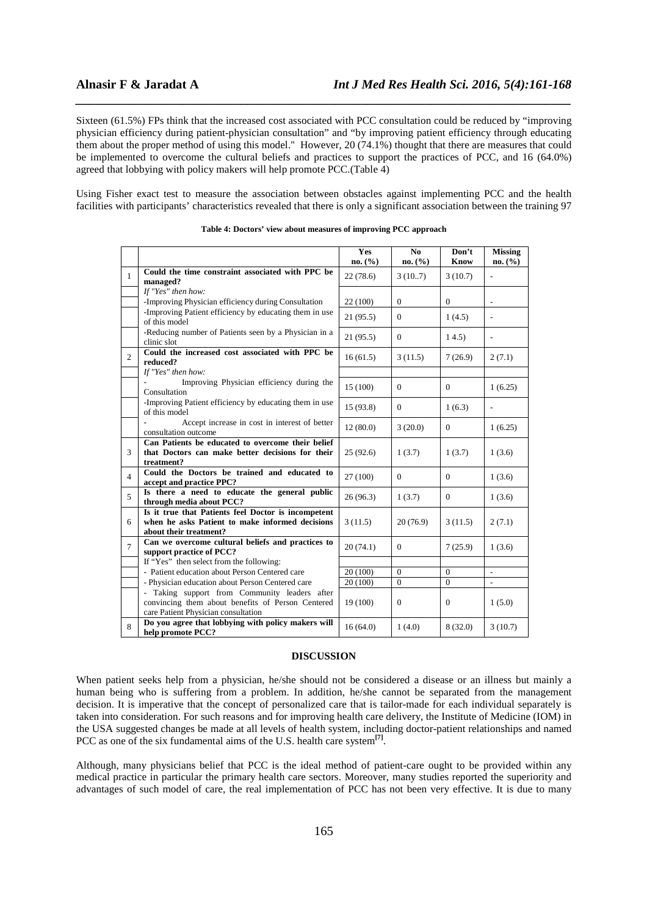Sixteen (61.5%) FPs think that the increased cost associated with PCC consultation could be reduced by "improving physician efficiency during patient-physician consultation" and "by improving patient efficiency through educating them about the proper method of using this model." However, 20 (74.1%) thought that there are measures that could be implemented to overcome the cultural beliefs and practices to support the practices of PCC, and 16 (64.0%) agreed that lobbying with policy makers will help promote PCC.(Table 4)

*\_\_\_\_\_\_\_\_\_\_\_\_\_\_\_\_\_\_\_\_\_\_\_\_\_\_\_\_\_\_\_\_\_\_\_\_\_\_\_\_\_\_\_\_\_\_\_\_\_\_\_\_\_\_\_\_\_\_\_\_\_\_\_\_\_\_\_\_\_\_\_\_\_\_\_\_\_\_*

Using Fisher exact test to measure the association between obstacles against implementing PCC and the health facilities with participants' characteristics revealed that there is only a significant association between the training 97

|                |                                                                                                                                           | Yes<br>no. (%) | N <sub>0</sub><br>no. (%) | Don't<br><b>Know</b> | <b>Missing</b><br>no. (%) |
|----------------|-------------------------------------------------------------------------------------------------------------------------------------------|----------------|---------------------------|----------------------|---------------------------|
| $\mathbf{1}$   | Could the time constraint associated with PPC be<br>managed?                                                                              | 22(78.6)       | 3(10.7)                   | 3(10.7)              |                           |
|                | If "Yes" then how:                                                                                                                        |                |                           |                      |                           |
|                | -Improving Physician efficiency during Consultation                                                                                       | 22 (100)       | $\mathbf{0}$              | $\boldsymbol{0}$     |                           |
|                | -Improving Patient efficiency by educating them in use<br>of this model                                                                   | 21(95.5)       | $\Omega$                  | 1(4.5)               |                           |
|                | -Reducing number of Patients seen by a Physician in a<br>clinic slot                                                                      | 21(95.5)       | $\Omega$                  | 14.5)                | $\overline{a}$            |
| $\overline{2}$ | Could the increased cost associated with PPC be<br>reduced?                                                                               | 16(61.5)       | 3(11.5)                   | 7(26.9)              | 2(7.1)                    |
|                | If "Yes" then how:                                                                                                                        |                |                           |                      |                           |
|                | Improving Physician efficiency during the<br>Consultation                                                                                 | 15(100)        | $\Omega$                  | $\Omega$             | 1(6.25)                   |
|                | -Improving Patient efficiency by educating them in use<br>of this model                                                                   | 15(93.8)       | $\Omega$                  | 1(6.3)               |                           |
|                | Accept increase in cost in interest of better<br>consultation outcome                                                                     | 12(80.0)       | 3(20.0)                   | $\overline{0}$       | 1(6.25)                   |
|                | Can Patients be educated to overcome their belief                                                                                         |                |                           |                      |                           |
| 3              | that Doctors can make better decisions for their<br>treatment?                                                                            | 25(92.6)       | 1(3.7)                    | 1(3.7)               | 1(3.6)                    |
| $\overline{4}$ | Could the Doctors be trained and educated to<br>accept and practice PPC?                                                                  | 27 (100)       | $\Omega$                  | $\Omega$             | 1(3.6)                    |
| 5              | Is there a need to educate the general public<br>through media about PCC?                                                                 | 26(96.3)       | 1(3.7)                    | $\overline{0}$       | 1(3.6)                    |
| 6              | Is it true that Patients feel Doctor is incompetent<br>when he asks Patient to make informed decisions<br>about their treatment?          | 3(11.5)        | 20(76.9)                  | 3(11.5)              | 2(7.1)                    |
| $\overline{7}$ | Can we overcome cultural beliefs and practices to<br>support practice of PCC?                                                             | 20(74.1)       | $\mathbf{0}$              | 7(25.9)              | 1(3.6)                    |
|                | If "Yes" then select from the following:                                                                                                  |                |                           |                      |                           |
|                | - Patient education about Person Centered care                                                                                            | 20 (100)       | $\Omega$                  | $\mathbf{0}$         |                           |
|                | - Physician education about Person Centered care                                                                                          | 20 (100)       | $\overline{0}$            | $\mathbf{0}$         | $\overline{a}$            |
|                | - Taking support from Community leaders after<br>convincing them about benefits of Person Centered<br>care Patient Physician consultation | 19 (100)       | $\Omega$                  | $\mathbf{0}$         | 1(5.0)                    |
| 8              | Do you agree that lobbying with policy makers will<br>help promote PCC?                                                                   | 16(64.0)       | 1(4.0)                    | 8(32.0)              | 3(10.7)                   |

| Table 4: Doctors' view about measures of improving PCC approach |  |  |  |  |  |
|-----------------------------------------------------------------|--|--|--|--|--|
|-----------------------------------------------------------------|--|--|--|--|--|

## **DISCUSSION**

When patient seeks help from a physician, he/she should not be considered a disease or an illness but mainly a human being who is suffering from a problem. In addition, he/she cannot be separated from the management decision. It is imperative that the concept of personalized care that is tailor-made for each individual separately is taken into consideration. For such reasons and for improving health care delivery, the Institute of Medicine (IOM) in the USA suggested changes be made at all levels of health system, including doctor-patient relationships and named PCC as one of the six fundamental aims of the U.S. health care system**[7]** .

Although, many physicians belief that PCC is the ideal method of patient-care ought to be provided within any medical practice in particular the primary health care sectors. Moreover, many studies reported the superiority and advantages of such model of care, the real implementation of PCC has not been very effective. It is due to many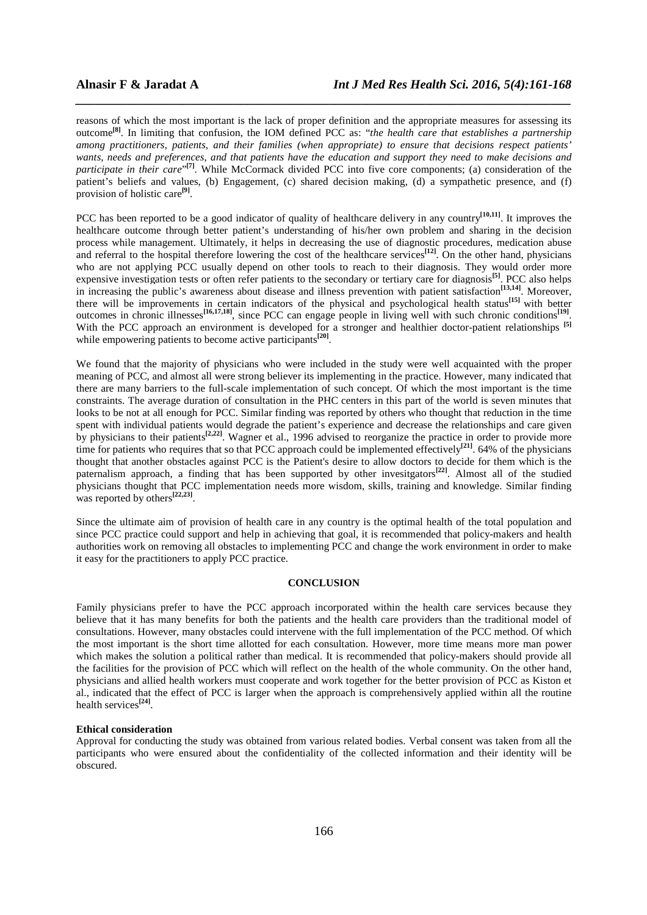reasons of which the most important is the lack of proper definition and the appropriate measures for assessing its outcome**[8]**. In limiting that confusion, the IOM defined PCC as: "*the health care that establishes a partnership among practitioners, patients, and their families (when appropriate) to ensure that decisions respect patients' wants, needs and preferences, and that patients have the education and support they need to make decisions and*  participate in their care<sup>"[7]</sup>. While McCormack divided PCC into five core components; (a) consideration of the patient's beliefs and values, (b) Engagement, (c) shared decision making, (d) a sympathetic presence, and (f) provision of holistic care**[9]** .

*\_\_\_\_\_\_\_\_\_\_\_\_\_\_\_\_\_\_\_\_\_\_\_\_\_\_\_\_\_\_\_\_\_\_\_\_\_\_\_\_\_\_\_\_\_\_\_\_\_\_\_\_\_\_\_\_\_\_\_\_\_\_\_\_\_\_\_\_\_\_\_\_\_\_\_\_\_\_*

PCC has been reported to be a good indicator of quality of healthcare delivery in any country<sup>[10,11]</sup>. It improves the healthcare outcome through better patient's understanding of his/her own problem and sharing in the decision process while management. Ultimately, it helps in decreasing the use of diagnostic procedures, medication abuse and referral to the hospital therefore lowering the cost of the healthcare services<sup>[12]</sup>. On the other hand, physicians who are not applying PCC usually depend on other tools to reach to their diagnosis. They would order more expensive investigation tests or often refer patients to the secondary or tertiary care for diagnosis<sup>[5]</sup>. PCC also helps in increasing the public's awareness about disease and illness prevention with patient satisfaction**[13,14]**. Moreover, there will be improvements in certain indicators of the physical and psychological health status**[15]** with better outcomes in chronic illnesses<sup>[16,17,18]</sup>, since PCC can engage people in living well with such chronic conditions<sup>[19]</sup>. With the PCC approach an environment is developed for a stronger and healthier doctor-patient relationships <sup>[5]</sup> while empowering patients to become active participants<sup>[20]</sup>.

We found that the majority of physicians who were included in the study were well acquainted with the proper meaning of PCC, and almost all were strong believer its implementing in the practice. However, many indicated that there are many barriers to the full-scale implementation of such concept. Of which the most important is the time constraints. The average duration of consultation in the PHC centers in this part of the world is seven minutes that looks to be not at all enough for PCC. Similar finding was reported by others who thought that reduction in the time spent with individual patients would degrade the patient's experience and decrease the relationships and care given by physicians to their patients**[2,22]**. Wagner et al., 1996 advised to reorganize the practice in order to provide more time for patients who requires that so that PCC approach could be implemented effectively<sup>[21]</sup>. 64% of the physicians thought that another obstacles against PCC is the Patient's desire to allow doctors to decide for them which is the paternalism approach, a finding that has been supported by other invesitgators**[22]**. Almost all of the studied physicians thought that PCC implementation needs more wisdom, skills, training and knowledge. Similar finding was reported by others<sup>[22,23]</sup>.

Since the ultimate aim of provision of health care in any country is the optimal health of the total population and since PCC practice could support and help in achieving that goal, it is recommended that policy-makers and health authorities work on removing all obstacles to implementing PCC and change the work environment in order to make it easy for the practitioners to apply PCC practice.

### **CONCLUSION**

Family physicians prefer to have the PCC approach incorporated within the health care services because they believe that it has many benefits for both the patients and the health care providers than the traditional model of consultations. However, many obstacles could intervene with the full implementation of the PCC method. Of which the most important is the short time allotted for each consultation. However, more time means more man power which makes the solution a political rather than medical. It is recommended that policy-makers should provide all the facilities for the provision of PCC which will reflect on the health of the whole community. On the other hand, physicians and allied health workers must cooperate and work together for the better provision of PCC as Kiston et al., indicated that the effect of PCC is larger when the approach is comprehensively applied within all the routine health services**[24]** .

## **Ethical consideration**

Approval for conducting the study was obtained from various related bodies. Verbal consent was taken from all the participants who were ensured about the confidentiality of the collected information and their identity will be obscured.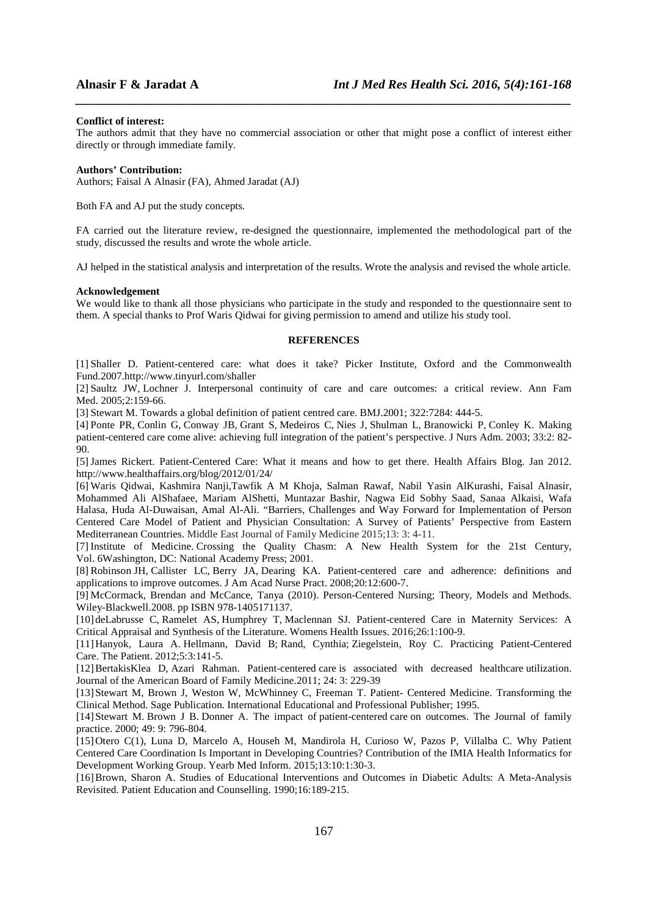#### **Conflict of interest:**

The authors admit that they have no commercial association or other that might pose a conflict of interest either directly or through immediate family.

*\_\_\_\_\_\_\_\_\_\_\_\_\_\_\_\_\_\_\_\_\_\_\_\_\_\_\_\_\_\_\_\_\_\_\_\_\_\_\_\_\_\_\_\_\_\_\_\_\_\_\_\_\_\_\_\_\_\_\_\_\_\_\_\_\_\_\_\_\_\_\_\_\_\_\_\_\_\_*

#### **Authors' Contribution:**

Authors; Faisal A Alnasir (FA), Ahmed Jaradat (AJ)

Both FA and AJ put the study concepts.

FA carried out the literature review, re-designed the questionnaire, implemented the methodological part of the study, discussed the results and wrote the whole article.

AJ helped in the statistical analysis and interpretation of the results. Wrote the analysis and revised the whole article.

### **Acknowledgement**

We would like to thank all those physicians who participate in the study and responded to the questionnaire sent to them. A special thanks to Prof Waris Qidwai for giving permission to amend and utilize his study tool.

# **REFERENCES**

[1] Shaller D. Patient-centered care: what does it take? Picker Institute, Oxford and the Commonwealth Fund.2007.http://www.tinyurl.com/shaller

[2] Saultz JW, Lochner J. Interpersonal continuity of care and care outcomes: a critical review. Ann Fam Med. 2005;2:159-66.

[3] Stewart M. Towards a global definition of patient centred care. BMJ.2001; 322:7284: 444-5.

[4] Ponte PR, Conlin G, Conway JB, Grant S, Medeiros C, Nies J, Shulman L, Branowicki P, Conley K. Making patient-centered care come alive: achieving full integration of the patient's perspective. J Nurs Adm. 2003; 33:2: 82- 90.

[5]James Rickert. Patient-Centered Care: What it means and how to get there. Health Affairs Blog. Jan 2012. http://www.healthaffairs.org/blog/2012/01/24/

[6] Waris Qidwai, Kashmira Nanji,Tawfik A M Khoja, Salman Rawaf, Nabil Yasin AlKurashi, Faisal Alnasir, Mohammed Ali AlShafaee, Mariam AlShetti, Muntazar Bashir, Nagwa Eid Sobhy Saad, Sanaa Alkaisi, Wafa Halasa, Huda Al-Duwaisan, Amal Al-Ali. "Barriers, Challenges and Way Forward for Implementation of Person Centered Care Model of Patient and Physician Consultation: A Survey of Patients' Perspective from Eastern Mediterranean Countries. Middle East Journal of Family Medicine 2015;13: 3: 4-11.

[7] Institute of Medicine. Crossing the Quality Chasm: A New Health System for the 21st Century, Vol. 6Washington, DC: National Academy Press; 2001.

[8] Robinson JH, Callister LC, Berry JA, Dearing KA. Patient-centered care and adherence: definitions and applications to improve outcomes. J Am Acad Nurse Pract. 2008;20:12:600-7.

[9] McCormack, Brendan and McCance, Tanya (2010). Person-Centered Nursing; Theory, Models and Methods. Wiley-Blackwell.2008. pp ISBN 978-1405171137.

[10] deLabrusse C, Ramelet AS, Humphrey T, Maclennan SJ. Patient-centered Care in Maternity Services: A Critical Appraisal and Synthesis of the Literature. Womens Health Issues. 2016;26:1:100-9.

[11]Hanyok, Laura A. Hellmann, David B; Rand, Cynthia; Ziegelstein, Roy C. Practicing Patient-Centered Care. The Patient. 2012;5:3:141-5.

[12]BertakisKlea D, Azari Rahman. Patient-centered care is associated with decreased healthcare utilization. Journal of the American Board of Family Medicine.2011; 24: 3: 229-39

[13]Stewart M, Brown J, Weston W, McWhinney C, Freeman T. Patient- Centered Medicine. Transforming the Clinical Method. Sage Publication. International Educational and Professional Publisher; 1995.

[14]Stewart M. Brown J B. Donner A. The impact of patient-centered care on outcomes. The Journal of family practice. 2000; 49: 9: 796-804.

[15]Otero C(1), Luna D, Marcelo A, Househ M, Mandirola H, Curioso W, Pazos P, Villalba C. Why Patient Centered Care Coordination Is Important in Developing Countries? Contribution of the IMIA Health Informatics for Development Working Group. Yearb Med Inform. 2015;13:10:1:30-3.

[16]Brown, Sharon A. Studies of Educational Interventions and Outcomes in Diabetic Adults: A Meta-Analysis Revisited. Patient Education and Counselling. 1990;16:189-215.